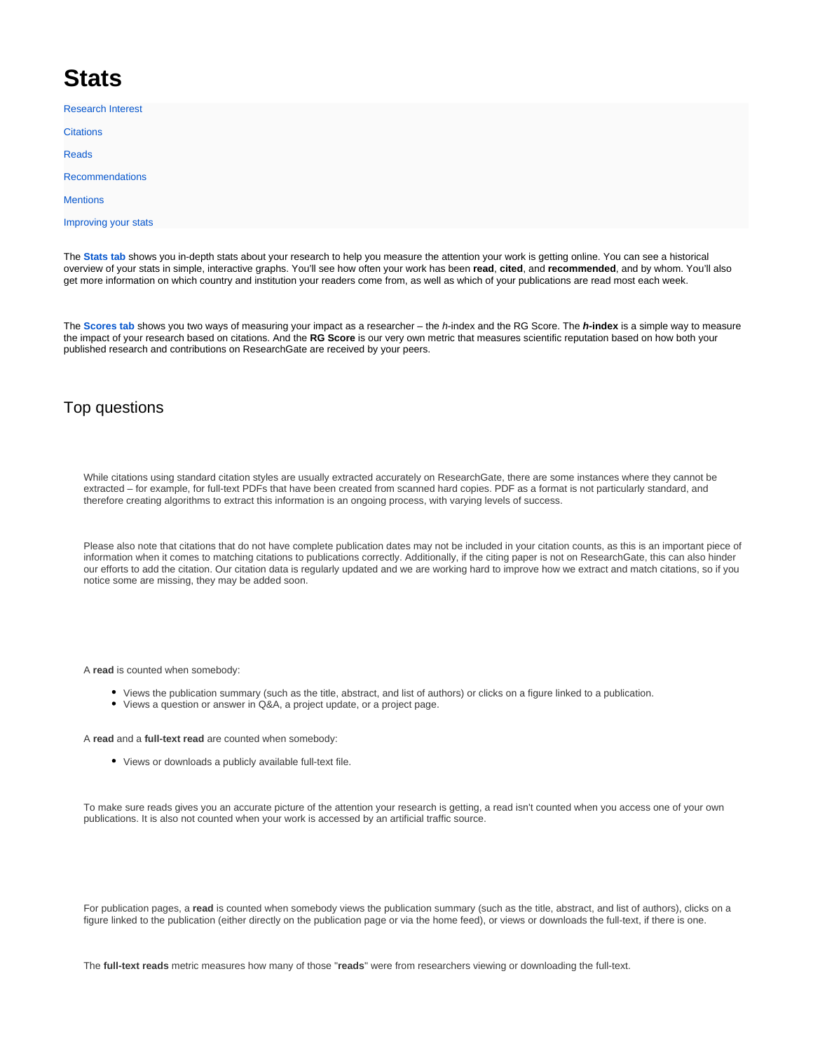## **Stats**

[Research Interest](https://explore.researchgate.net/display/support/Research+Interest) **[Citations](https://explore.researchgate.net/display/support/Citations)** [Reads](https://explore.researchgate.net/display/support/Reads) [Recommendations](https://explore.researchgate.net/display/support/Recommendations) **[Mentions](https://explore.researchgate.net/display/support/Mentions)** [Improving your stats](https://explore.researchgate.net/display/support/Improving+your+stats?src=contextnavpagetreemode)

The **[Stats tab](https://www.researchgate.net/go.Profile.stats.html)** shows you in-depth stats about your research to help you measure the attention your work is getting online. You can see a historical overview of your stats in simple, interactive graphs. You'll see how often your work has been **read**, **cited**, and **recommended**, and by whom. You'll also get more information on which country and institution your readers come from, as well as which of your publications are read most each week.

The **[Scores tab](https://www.researchgate.net/go.Profile.reputation.html)** shows you two ways of measuring your impact as a researcher – the h-index and the RG Score. The **h-index** is a simple way to measure the impact of your research based on citations. And the **RG Score** is our very own metric that measures scientific reputation based on how both your published research and contributions on ResearchGate are received by your peers.

## Top questions

While citations using standard citation styles are usually extracted accurately on ResearchGate, there are some instances where they cannot be extracted – for example, for full-text PDFs that have been created from scanned hard copies. PDF as a format is not particularly standard, and therefore creating algorithms to extract this information is an ongoing process, with varying levels of success.

Please also note that citations that do not have complete publication dates may not be included in your citation counts, as this is an important piece of information when it comes to matching citations to publications correctly. Additionally, if the citing paper is not on ResearchGate, this can also hinder our efforts to add the citation. Our citation data is regularly updated and we are working hard to improve how we extract and match citations, so if you notice some are missing, they may be added soon.

A **read** is counted when somebody:

- Views the publication summary (such as the title, abstract, and list of authors) or clicks on a figure linked to a publication.
- Views a question or answer in Q&A, a project update, or a project page.

A **read** and a **full-text read** are counted when somebody:

Views or downloads a publicly available full-text file.

To make sure reads gives you an accurate picture of the attention your research is getting, a read isn't counted when you access one of your own publications. It is also not counted when your work is accessed by an artificial traffic source.

For publication pages, a read is counted when somebody views the publication summary (such as the title, abstract, and list of authors), clicks on a figure linked to the publication (either directly on the publication page or via the home feed), or views or downloads the full-text, if there is one.

The **full-text reads** metric measures how many of those "**reads**" were from researchers viewing or downloading the full-text.